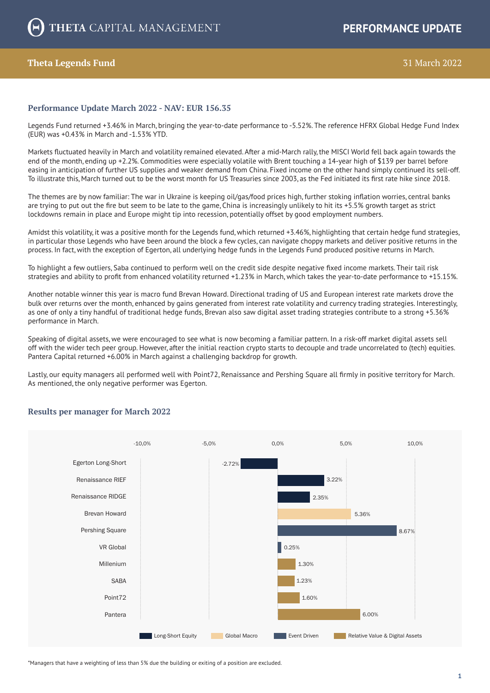# **Theta Legends Fund** 31 March 2022

## **Performance Update March 2022 - NAV: EUR 156.35**

Legends Fund returned +3.46% in March, bringing the year-to-date performance to -5.52%. The reference HFRX Global Hedge Fund Index (EUR) was +0.43% in March and -1.53% YTD.

Markets fluctuated heavily in March and volatility remained elevated. After a mid-March rally, the MISCI World fell back again towards the end of the month, ending up +2.2%. Commodities were especially volatile with Brent touching a 14-year high of \$139 per barrel before easing in anticipation of further US supplies and weaker demand from China. Fixed income on the other hand simply continued its sell-off. To illustrate this, March turned out to be the worst month for US Treasuries since 2003, as the Fed initiated its first rate hike since 2018.

The themes are by now familiar: The war in Ukraine is keeping oil/gas/food prices high, further stoking inflation worries, central banks are trying to put out the fire but seem to be late to the game, China is increasingly unlikely to hit its +5.5% growth target as strict lockdowns remain in place and Europe might tip into recession, potentially offset by good employment numbers.

Amidst this volatility, it was a positive month for the Legends fund, which returned +3.46%, highlighting that certain hedge fund strategies, in particular those Legends who have been around the block a few cycles, can navigate choppy markets and deliver positive returns in the process. In fact, with the exception of Egerton, all underlying hedge funds in the Legends Fund produced positive returns in March.

To highlight a few outliers, Saba continued to perform well on the credit side despite negative fixed income markets. Their tail risk strategies and ability to profit from enhanced volatility returned +1.23% in March, which takes the year-to-date performance to +15.15%.

Another notable winner this year is macro fund Brevan Howard. Directional trading of US and European interest rate markets drove the bulk over returns over the month, enhanced by gains generated from interest rate volatility and currency trading strategies. Interestingly, as one of only a tiny handful of traditional hedge funds, Brevan also saw digital asset trading strategies contribute to a strong +5.36% performance in March.

Speaking of digital assets, we were encouraged to see what is now becoming a familiar pattern. In a risk-off market digital assets sell off with the wider tech peer group. However, after the initial reaction crypto starts to decouple and trade uncorrelated to (tech) equities. Pantera Capital returned +6.00% in March against a challenging backdrop for growth.

Lastly, our equity managers all performed well with Point72, Renaissance and Pershing Square all firmly in positive territory for March. As mentioned, the only negative performer was Egerton.



## **Results per manager for March 2022**

\*Managers that have a weighting of less than 5% due the building or exiting of a position are excluded.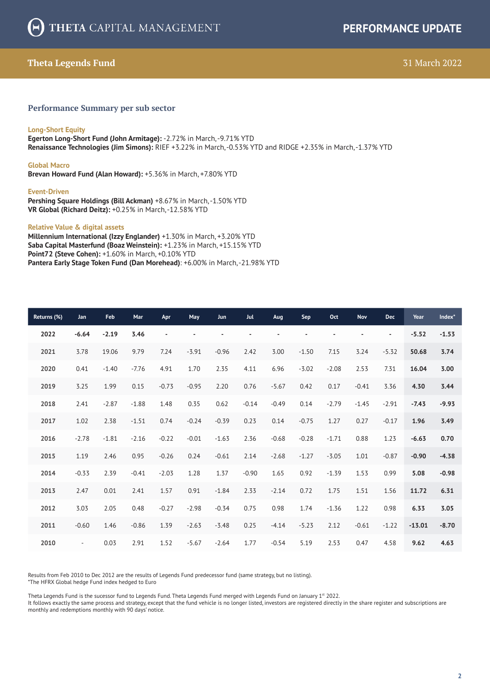# **Theta Legends Fund** 31 March 2022

## **Performance Summary per sub sector**

### **Long-Short Equity**

**Egerton Long-Short Fund (John Armitage):** -2.72% in March, -9.71% YTD **Renaissance Technologies (Jim Simons):** RIEF +3.22% in March, -0.53% YTD and RIDGE +2.35% in March, -1.37% YTD

#### **Global Macro**

**Brevan Howard Fund (Alan Howard):** +5.36% in March, +7.80% YTD

#### **Event-Driven**

**Pershing Square Holdings (Bill Ackman)** +8.67% in March, -1.50% YTD **VR Global (Richard Deitz):** +0.25% in March, -12.58% YTD

#### **Relative Value & digital assets**

**Millennium International (Izzy Englander)** +1.30% in March, +3.20% YTD **Saba Capital Masterfund (Boaz Weinstein):** +1.23% in March, +15.15% YTD **Point72 (Steve Cohen):** +1.60% in March, +0.10% YTD **Pantera Early Stage Token Fund (Dan Morehead)**: +6.00% in March, -21.98% YTD

| Returns (%) | Jan       | Feb     | Mar     | Apr     | May                      | <b>Jun</b> | <b>Jul</b>     | Aug     | Sep            | Oct     | <b>Nov</b>               | <b>Dec</b>               | Year     | Index*  |
|-------------|-----------|---------|---------|---------|--------------------------|------------|----------------|---------|----------------|---------|--------------------------|--------------------------|----------|---------|
| 2022        | $-6.64$   | $-2.19$ | 3.46    |         | $\overline{\phantom{a}}$ |            | $\blacksquare$ | ٠       | $\overline{a}$ |         | $\overline{\phantom{a}}$ | $\overline{\phantom{a}}$ | $-5.52$  | $-1.53$ |
| 2021        | 3.78      | 19.06   | 9.79    | 7.24    | $-3.91$                  | $-0.96$    | 2.42           | 3.00    | $-1.50$        | 7.15    | 3.24                     | $-5.32$                  | 50.68    | 3.74    |
| 2020        | 0.41      | $-1.40$ | $-7.76$ | 4.91    | 1.70                     | 2.35       | 4.11           | 6.96    | $-3.02$        | $-2.08$ | 2.53                     | 7.31                     | 16.04    | 3.00    |
| 2019        | 3.25      | 1.99    | 0.15    | $-0.73$ | $-0.95$                  | 2.20       | 0.76           | $-5.67$ | 0.42           | 0.17    | $-0.41$                  | 3.36                     | 4.30     | 3.44    |
| 2018        | 2.41      | $-2.87$ | $-1.88$ | 1.48    | 0.35                     | 0.62       | $-0.14$        | $-0.49$ | 0.14           | $-2.79$ | $-1.45$                  | $-2.91$                  | $-7.43$  | $-9.93$ |
| 2017        | 1.02      | 2.38    | $-1.51$ | 0.74    | $-0.24$                  | $-0.39$    | 0.23           | 0.14    | $-0.75$        | 1.27    | 0.27                     | $-0.17$                  | 1.96     | 3.49    |
| 2016        | $-2.78$   | $-1.81$ | $-2.16$ | $-0.22$ | $-0.01$                  | $-1.63$    | 2.36           | $-0.68$ | $-0.28$        | $-1.71$ | 0.88                     | 1.23                     | $-6.63$  | 0.70    |
| 2015        | 1.19      | 2.46    | 0.95    | $-0.26$ | 0.24                     | $-0.61$    | 2.14           | $-2.68$ | $-1.27$        | $-3.05$ | 1.01                     | $-0.87$                  | $-0.90$  | $-4.38$ |
| 2014        | $-0.33$   | 2.39    | $-0.41$ | $-2.03$ | 1.28                     | 1.37       | $-0.90$        | 1.65    | 0.92           | $-1.39$ | 1.53                     | 0.99                     | 5.08     | $-0.98$ |
| 2013        | 2.47      | 0.01    | 2.41    | 1.57    | 0.91                     | $-1.84$    | 2.33           | $-2.14$ | 0.72           | 1.75    | 1.51                     | 1.56                     | 11.72    | 6.31    |
| 2012        | 3.03      | 2.05    | 0.48    | $-0.27$ | $-2.98$                  | $-0.34$    | 0.75           | 0.98    | 1.74           | $-1.36$ | 1.22                     | 0.98                     | 6.33     | 3.05    |
| 2011        | $-0.60$   | 1.46    | $-0.86$ | 1.39    | $-2.63$                  | $-3.48$    | 0.25           | $-4.14$ | $-5.23$        | 2.12    | $-0.61$                  | $-1.22$                  | $-13.01$ | $-8.70$ |
| 2010        | $\bar{a}$ | 0.03    | 2.91    | 1.52    | $-5.67$                  | $-2.64$    | 1.77           | $-0.54$ | 5.19           | 2.53    | 0.47                     | 4.58                     | 9.62     | 4.63    |

Results from Feb 2010 to Dec 2012 are the results of Legends Fund predecessor fund (same strategy, but no listing). \*The HFRX Global hedge Fund index hedged to Euro

Theta Legends Fund is the sucessor fund to Legends Fund. Theta Legends Fund merged with Legends Fund on January  $1<sup>st</sup>$  2022.

It follows exactly the same process and strategy, except that the fund vehicle is no longer listed, investors are registered directly in the share register and subscriptions are monthly and redemptions monthly with 90 days' notice.